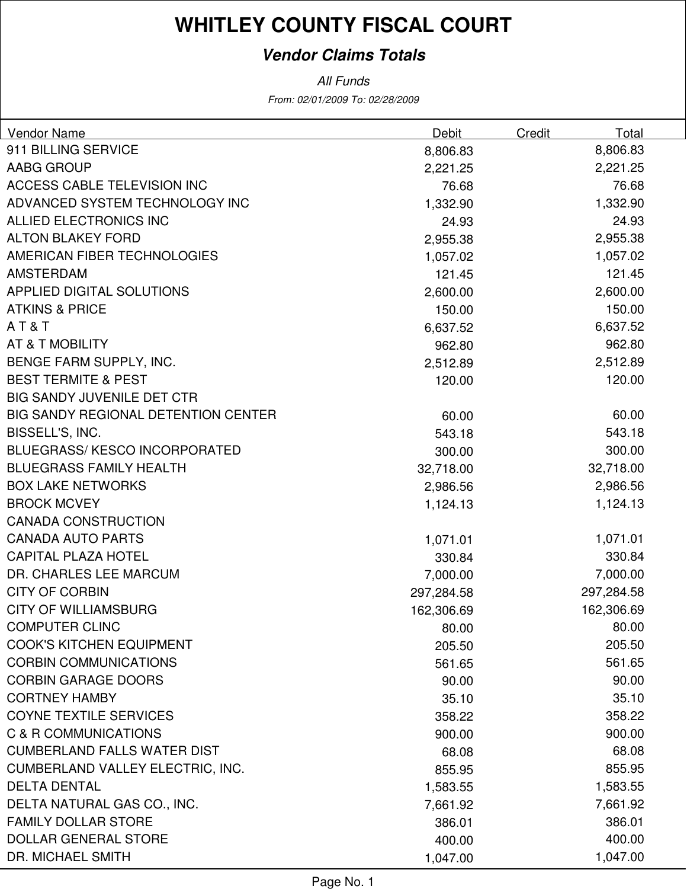#### **Vendor Claims Totals**

From: 02/01/2009 To: 02/28/2009 All Funds

| Vendor Name                                | Debit      | Total<br>Credit |  |
|--------------------------------------------|------------|-----------------|--|
| 911 BILLING SERVICE                        | 8,806.83   | 8,806.83        |  |
| AABG GROUP                                 | 2,221.25   | 2,221.25        |  |
| ACCESS CABLE TELEVISION INC                | 76.68      | 76.68           |  |
| ADVANCED SYSTEM TECHNOLOGY INC             | 1,332.90   | 1,332.90        |  |
| ALLIED ELECTRONICS INC                     | 24.93      | 24.93           |  |
| <b>ALTON BLAKEY FORD</b>                   | 2,955.38   | 2,955.38        |  |
| AMERICAN FIBER TECHNOLOGIES                | 1,057.02   | 1,057.02        |  |
| <b>AMSTERDAM</b>                           | 121.45     | 121.45          |  |
| APPLIED DIGITAL SOLUTIONS                  | 2,600.00   | 2,600.00        |  |
| <b>ATKINS &amp; PRICE</b>                  | 150.00     | 150.00          |  |
| AT&T                                       | 6,637.52   | 6,637.52        |  |
| AT & T MOBILITY                            | 962.80     | 962.80          |  |
| BENGE FARM SUPPLY, INC.                    | 2,512.89   | 2,512.89        |  |
| <b>BEST TERMITE &amp; PEST</b>             | 120.00     | 120.00          |  |
| <b>BIG SANDY JUVENILE DET CTR</b>          |            |                 |  |
| <b>BIG SANDY REGIONAL DETENTION CENTER</b> | 60.00      | 60.00           |  |
| BISSELL'S, INC.                            | 543.18     | 543.18          |  |
| <b>BLUEGRASS/KESCO INCORPORATED</b>        | 300.00     | 300.00          |  |
| <b>BLUEGRASS FAMILY HEALTH</b>             | 32,718.00  | 32,718.00       |  |
| <b>BOX LAKE NETWORKS</b>                   | 2,986.56   | 2,986.56        |  |
| <b>BROCK MCVEY</b>                         | 1,124.13   | 1,124.13        |  |
| <b>CANADA CONSTRUCTION</b>                 |            |                 |  |
| <b>CANADA AUTO PARTS</b>                   | 1,071.01   | 1,071.01        |  |
| <b>CAPITAL PLAZA HOTEL</b>                 | 330.84     | 330.84          |  |
| DR. CHARLES LEE MARCUM                     | 7,000.00   | 7,000.00        |  |
| <b>CITY OF CORBIN</b>                      | 297,284.58 | 297,284.58      |  |
| <b>CITY OF WILLIAMSBURG</b>                | 162,306.69 | 162,306.69      |  |
| <b>COMPUTER CLINC</b>                      | 80.00      | 80.00           |  |
| <b>COOK'S KITCHEN EQUIPMENT</b>            | 205.50     | 205.50          |  |
| <b>CORBIN COMMUNICATIONS</b>               | 561.65     | 561.65          |  |
| <b>CORBIN GARAGE DOORS</b>                 | 90.00      | 90.00           |  |
| <b>CORTNEY HAMBY</b>                       | 35.10      | 35.10           |  |
| <b>COYNE TEXTILE SERVICES</b>              | 358.22     | 358.22          |  |
| C & R COMMUNICATIONS                       | 900.00     | 900.00          |  |
| <b>CUMBERLAND FALLS WATER DIST</b>         | 68.08      | 68.08           |  |
| <b>CUMBERLAND VALLEY ELECTRIC, INC.</b>    | 855.95     | 855.95          |  |
| <b>DELTA DENTAL</b>                        | 1,583.55   | 1,583.55        |  |
| DELTA NATURAL GAS CO., INC.                | 7,661.92   | 7,661.92        |  |
| <b>FAMILY DOLLAR STORE</b>                 | 386.01     | 386.01          |  |
| <b>DOLLAR GENERAL STORE</b>                | 400.00     | 400.00          |  |
| DR. MICHAEL SMITH                          | 1,047.00   | 1,047.00        |  |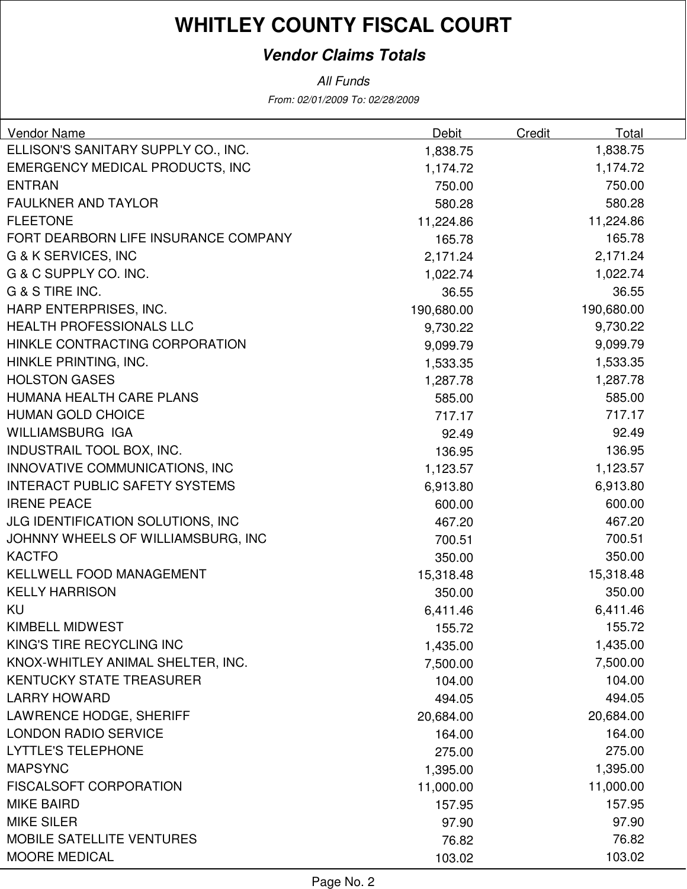#### **Vendor Claims Totals**

All Funds

From: 02/01/2009 To: 02/28/2009

| Vendor Name                            | <b>Debit</b> | Credit | Total      |
|----------------------------------------|--------------|--------|------------|
| ELLISON'S SANITARY SUPPLY CO., INC.    | 1,838.75     |        | 1,838.75   |
| <b>EMERGENCY MEDICAL PRODUCTS, INC</b> | 1,174.72     |        | 1,174.72   |
| <b>ENTRAN</b>                          | 750.00       |        | 750.00     |
| <b>FAULKNER AND TAYLOR</b>             | 580.28       |        | 580.28     |
| <b>FLEETONE</b>                        | 11,224.86    |        | 11,224.86  |
| FORT DEARBORN LIFE INSURANCE COMPANY   | 165.78       |        | 165.78     |
| G & K SERVICES, INC                    | 2,171.24     |        | 2,171.24   |
| G & C SUPPLY CO. INC.                  | 1,022.74     |        | 1,022.74   |
| G & S TIRE INC.                        | 36.55        |        | 36.55      |
| HARP ENTERPRISES, INC.                 | 190,680.00   |        | 190,680.00 |
| HEALTH PROFESSIONALS LLC               | 9,730.22     |        | 9,730.22   |
| HINKLE CONTRACTING CORPORATION         | 9,099.79     |        | 9,099.79   |
| HINKLE PRINTING, INC.                  | 1,533.35     |        | 1,533.35   |
| <b>HOLSTON GASES</b>                   | 1,287.78     |        | 1,287.78   |
| HUMANA HEALTH CARE PLANS               | 585.00       |        | 585.00     |
| <b>HUMAN GOLD CHOICE</b>               | 717.17       |        | 717.17     |
| WILLIAMSBURG IGA                       | 92.49        |        | 92.49      |
| INDUSTRAIL TOOL BOX, INC.              | 136.95       |        | 136.95     |
| INNOVATIVE COMMUNICATIONS, INC         | 1,123.57     |        | 1,123.57   |
| <b>INTERACT PUBLIC SAFETY SYSTEMS</b>  | 6,913.80     |        | 6,913.80   |
| <b>IRENE PEACE</b>                     | 600.00       |        | 600.00     |
| JLG IDENTIFICATION SOLUTIONS, INC      | 467.20       |        | 467.20     |
| JOHNNY WHEELS OF WILLIAMSBURG, INC     | 700.51       |        | 700.51     |
| <b>KACTFO</b>                          | 350.00       |        | 350.00     |
| KELLWELL FOOD MANAGEMENT               | 15,318.48    |        | 15,318.48  |
| <b>KELLY HARRISON</b>                  | 350.00       |        | 350.00     |
| KU                                     | 6,411.46     |        | 6,411.46   |
| <b>KIMBELL MIDWEST</b>                 | 155.72       |        | 155.72     |
| KING'S TIRE RECYCLING INC              | 1,435.00     |        | 1,435.00   |
| KNOX-WHITLEY ANIMAL SHELTER, INC.      | 7,500.00     |        | 7,500.00   |
| <b>KENTUCKY STATE TREASURER</b>        | 104.00       |        | 104.00     |
| <b>LARRY HOWARD</b>                    | 494.05       |        | 494.05     |
| LAWRENCE HODGE, SHERIFF                | 20,684.00    |        | 20,684.00  |
| <b>LONDON RADIO SERVICE</b>            | 164.00       |        | 164.00     |
| <b>LYTTLE'S TELEPHONE</b>              | 275.00       |        | 275.00     |
| <b>MAPSYNC</b>                         | 1,395.00     |        | 1,395.00   |
| <b>FISCALSOFT CORPORATION</b>          | 11,000.00    |        | 11,000.00  |
| <b>MIKE BAIRD</b>                      | 157.95       |        | 157.95     |
| <b>MIKE SILER</b>                      | 97.90        |        | 97.90      |
| <b>MOBILE SATELLITE VENTURES</b>       | 76.82        |        | 76.82      |
| <b>MOORE MEDICAL</b>                   | 103.02       |        | 103.02     |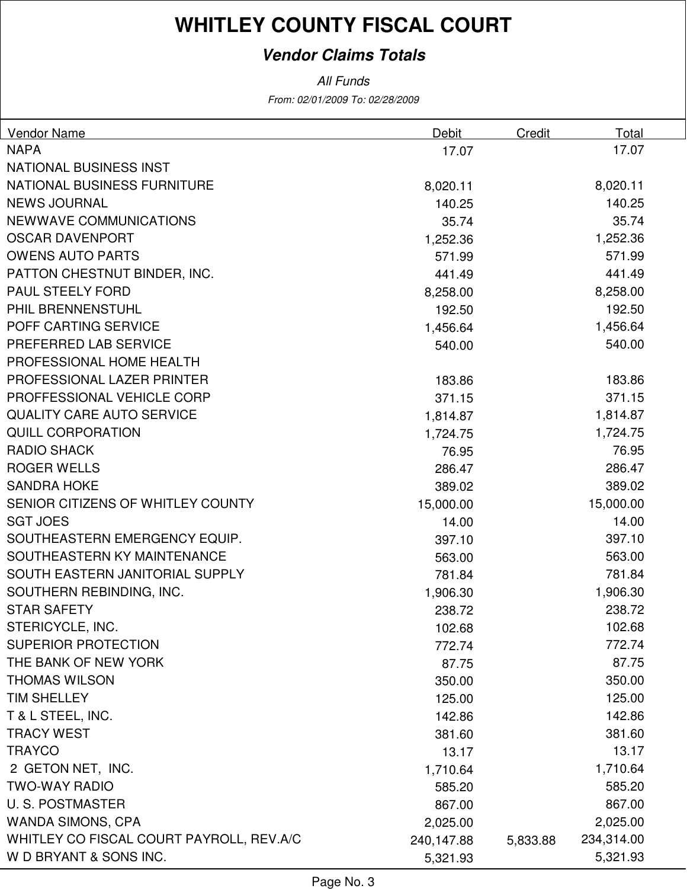#### **Vendor Claims Totals**

From: 02/01/2009 To: 02/28/2009 All Funds

| <b>Vendor Name</b>                       | Debit      | Credit   | Total      |
|------------------------------------------|------------|----------|------------|
| <b>NAPA</b>                              | 17.07      |          | 17.07      |
| <b>NATIONAL BUSINESS INST</b>            |            |          |            |
| NATIONAL BUSINESS FURNITURE              | 8,020.11   |          | 8,020.11   |
| <b>NEWS JOURNAL</b>                      | 140.25     |          | 140.25     |
| <b>NEWWAVE COMMUNICATIONS</b>            | 35.74      |          | 35.74      |
| <b>OSCAR DAVENPORT</b>                   | 1,252.36   |          | 1,252.36   |
| <b>OWENS AUTO PARTS</b>                  | 571.99     |          | 571.99     |
| PATTON CHESTNUT BINDER, INC.             | 441.49     |          | 441.49     |
| PAUL STEELY FORD                         | 8,258.00   |          | 8,258.00   |
| PHIL BRENNENSTUHL                        | 192.50     |          | 192.50     |
| POFF CARTING SERVICE                     | 1,456.64   |          | 1,456.64   |
| PREFERRED LAB SERVICE                    | 540.00     |          | 540.00     |
| PROFESSIONAL HOME HEALTH                 |            |          |            |
| PROFESSIONAL LAZER PRINTER               | 183.86     |          | 183.86     |
| PROFFESSIONAL VEHICLE CORP               | 371.15     |          | 371.15     |
| <b>QUALITY CARE AUTO SERVICE</b>         | 1,814.87   |          | 1,814.87   |
| <b>QUILL CORPORATION</b>                 | 1,724.75   |          | 1,724.75   |
| <b>RADIO SHACK</b>                       | 76.95      |          | 76.95      |
| <b>ROGER WELLS</b>                       | 286.47     |          | 286.47     |
| <b>SANDRA HOKE</b>                       | 389.02     |          | 389.02     |
| SENIOR CITIZENS OF WHITLEY COUNTY        | 15,000.00  |          | 15,000.00  |
| <b>SGT JOES</b>                          | 14.00      |          | 14.00      |
| SOUTHEASTERN EMERGENCY EQUIP.            | 397.10     |          | 397.10     |
| SOUTHEASTERN KY MAINTENANCE              | 563.00     |          | 563.00     |
| SOUTH EASTERN JANITORIAL SUPPLY          | 781.84     |          | 781.84     |
| SOUTHERN REBINDING, INC.                 | 1,906.30   |          | 1,906.30   |
| <b>STAR SAFETY</b>                       | 238.72     |          | 238.72     |
| STERICYCLE, INC.                         | 102.68     |          | 102.68     |
| <b>SUPERIOR PROTECTION</b>               | 772.74     |          | 772.74     |
| THE BANK OF NEW YORK                     | 87.75      |          | 87.75      |
| <b>THOMAS WILSON</b>                     | 350.00     |          | 350.00     |
| <b>TIM SHELLEY</b>                       | 125.00     |          | 125.00     |
| T & L STEEL, INC.                        | 142.86     |          | 142.86     |
| <b>TRACY WEST</b>                        | 381.60     |          | 381.60     |
| <b>TRAYCO</b>                            | 13.17      |          | 13.17      |
| 2 GETON NET, INC.                        | 1,710.64   |          | 1,710.64   |
| <b>TWO-WAY RADIO</b>                     | 585.20     |          | 585.20     |
| <b>U.S. POSTMASTER</b>                   | 867.00     |          | 867.00     |
| <b>WANDA SIMONS, CPA</b>                 | 2,025.00   |          | 2,025.00   |
| WHITLEY CO FISCAL COURT PAYROLL, REV.A/C | 240,147.88 | 5,833.88 | 234,314.00 |
| W D BRYANT & SONS INC.                   | 5,321.93   |          | 5,321.93   |